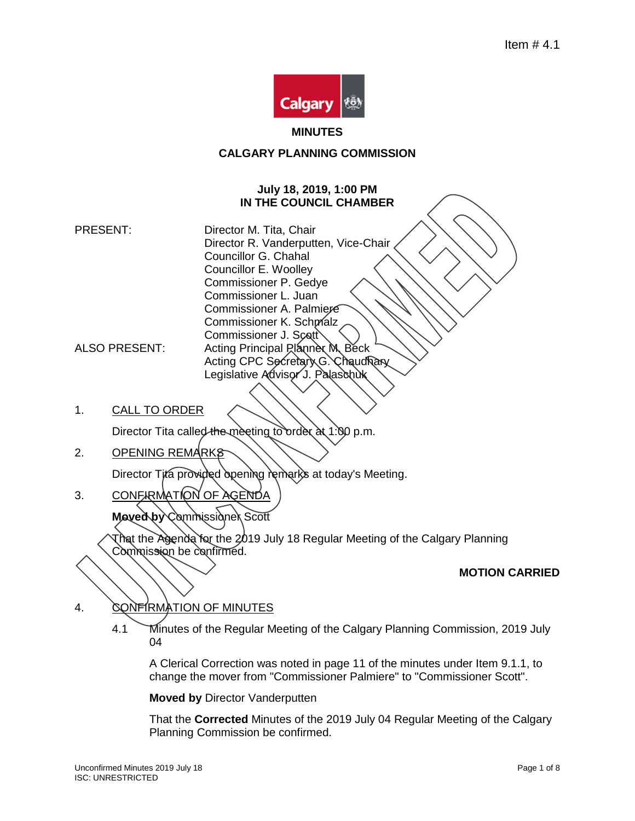

#### **MINUTES**

# **CALGARY PLANNING COMMISSION**

#### **July 18, 2019, 1:00 PM IN THE COUNCIL CHAMBER**

- PRESENT: Director M. Tita, Chair Director R. Vanderputten, Vice-Chair Councillor G. Chahal Councillor E. Woolley Commissioner P. Gedye Commissioner L. Juan Commissioner A. Palmiere Commissioner K. Schmalz Commissioner J. Scott ALSO PRESENT: Acting Principal Planner M, Beck Acting CPC Secretary G. Chaudhary Legislative Advisor J. Palaschuk
- 1. CALL TO ORDER

Director Tita called the meeting to order at 1:00 p.m.

2. OPENING REMARKS

Director Tita provided opening remarks at today's Meeting.

3. CONFIRMATION OF AGENDA

**Moved by** Commissioner Scott

That the Agenda for the 2019 July 18 Regular Meeting of the Calgary Planning Commission be confirmed.

### **MOTION CARRIED**

4. CONFIRMATION OF MINUTES

4.1 Minutes of the Regular Meeting of the Calgary Planning Commission, 2019 July 04

A Clerical Correction was noted in page 11 of the minutes under Item 9.1.1, to change the mover from "Commissioner Palmiere" to "Commissioner Scott".

#### **Moved by** Director Vanderputten

That the **Corrected** Minutes of the 2019 July 04 Regular Meeting of the Calgary Planning Commission be confirmed.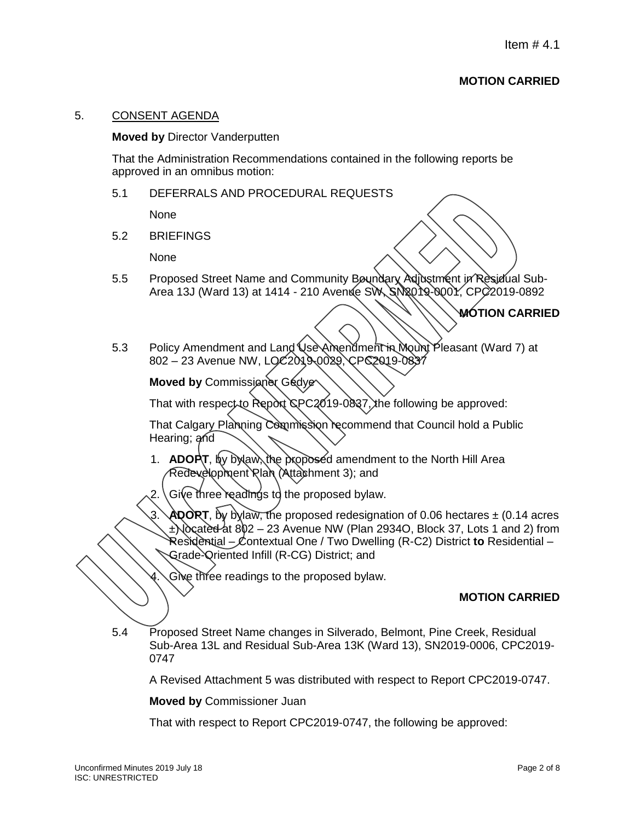# **MOTION CARRIED**

#### 5. CONSENT AGENDA

#### **Moved by** Director Vanderputten

That the Administration Recommendations contained in the following reports be approved in an omnibus motion:

5.1 DEFERRALS AND PROCEDURAL REQUESTS

None

5.2 BRIEFINGS

None

5.5 Proposed Street Name and Community Boundary Adjustment in Residual Sub-Area 13J (Ward 13) at 1414 - 210 Avenue SW, SN2019-000Y, CPC 2019-0892

# **MOTION CARRIED**

5.3 Policy Amendment and Land Use Amendment in Mount Pleasant (Ward 7) at 802 – 23 Avenue NW, LOC2019-0029, CPC2019-0837

**Moved by Commissioner Gedye** 

That with respect to Report  $CPC2019-0837$ , the following be approved:

That Calgary Planning Commission recommend that Council hold a Public Hearing; and

1. **ADOPT**, by bylaw, the proposed amendment to the North Hill Area Redevelopment Plan (Attachment 3); and

Give three readings to the proposed bylaw.

**ADORT**, by bylaw, the proposed redesignation of 0.06 hectares  $\pm$  (0.14 acres  $\pm$ ) located at 802 – 23 Avenue NW (Plan 2934O, Block 37, Lots 1 and 2) from Residential – Contextual One / Two Dwelling (R-C2) District **to** Residential – Grade-Oriented Infill (R-CG) District; and

Give three readings to the proposed bylaw.

### **MOTION CARRIED**

5.4 Proposed Street Name changes in Silverado, Belmont, Pine Creek, Residual Sub-Area 13L and Residual Sub-Area 13K (Ward 13), SN2019-0006, CPC2019- 0747

A Revised Attachment 5 was distributed with respect to Report CPC2019-0747.

**Moved by** Commissioner Juan

That with respect to Report CPC2019-0747, the following be approved: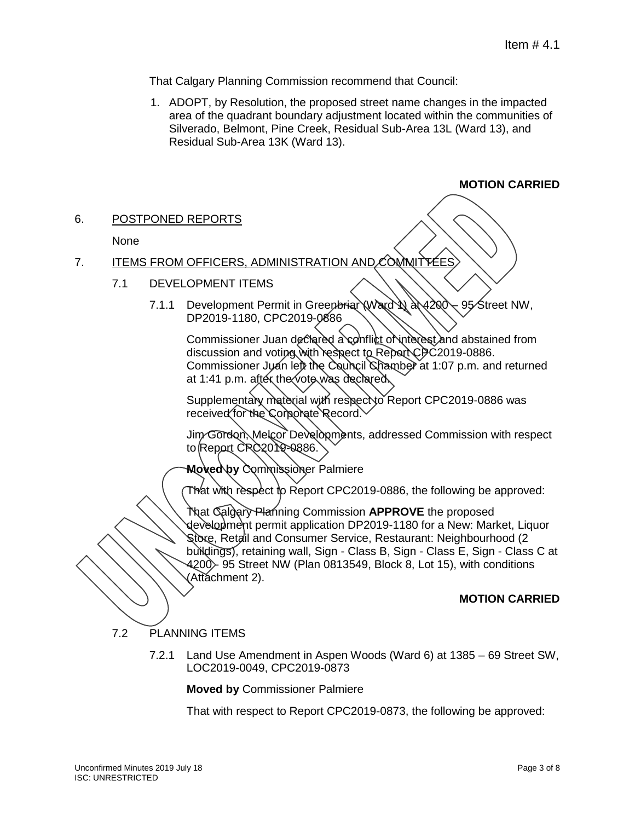That Calgary Planning Commission recommend that Council:

1. ADOPT, by Resolution, the proposed street name changes in the impacted area of the quadrant boundary adjustment located within the communities of Silverado, Belmont, Pine Creek, Residual Sub-Area 13L (Ward 13), and Residual Sub-Area 13K (Ward 13).

# **MOTION CARRIED**

### 6. POSTPONED REPORTS

### None

### 7. ITEMS FROM OFFICERS, ADMINISTRATION AND COMMITTEES

#### 7.1 DEVELOPMENT ITEMS

7.1.1 Development Permit in Greenbriar (Ward 1) at 4200 – 95 Street NW, DP2019-1180, CPC2019-0886

Commissioner Juan declared a conflict of interest and abstained from discussion and voting with respect to Report CPC2019-0886. Commissioner Juan left the Council Chamber at 1:07 p.m. and returned at 1:41 p.m. after the vote was declared.

Supplementary material with respect to Report CPC2019-0886 was received for the Corporate Record.

Jim Gordon, Melcor Developments, addressed Commission with respect to Report CPC2019-0886.

**Moved by** Commissioner Palmiere

That with respect to Report CPC2019-0886, the following be approved:

That Calgary Planning Commission **APPROVE** the proposed development permit application DP2019-1180 for a New: Market, Liquor Store, Retail and Consumer Service, Restaurant: Neighbourhood (2 buildings), retaining wall, Sign - Class B, Sign - Class E, Sign - Class C at 4200 - 95 Street NW (Plan 0813549, Block 8, Lot 15), with conditions (Attachment 2).

## **MOTION CARRIED**

### 7.2 PLANNING ITEMS

7.2.1 Land Use Amendment in Aspen Woods (Ward 6) at 1385 – 69 Street SW, LOC2019-0049, CPC2019-0873

**Moved by** Commissioner Palmiere

That with respect to Report CPC2019-0873, the following be approved: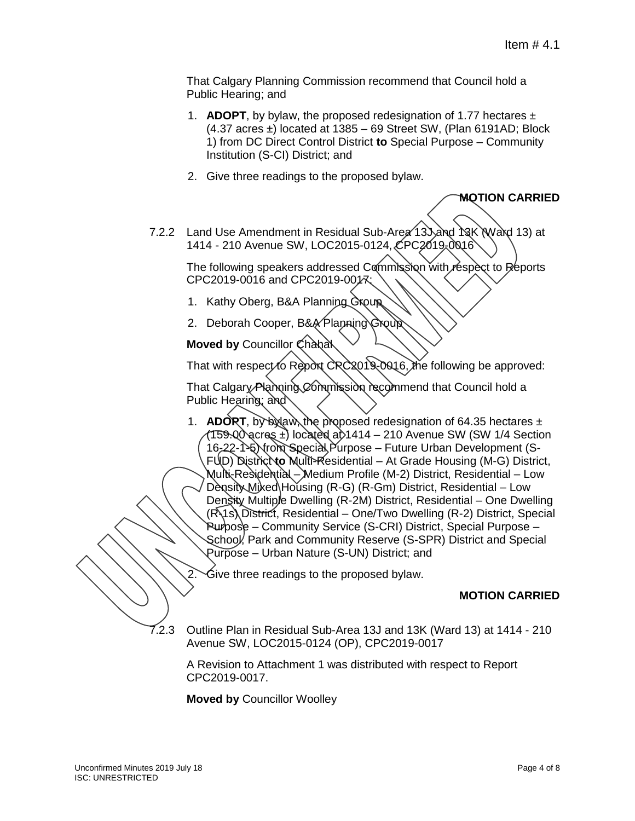That Calgary Planning Commission recommend that Council hold a Public Hearing; and

- 1. **ADOPT**, by bylaw, the proposed redesignation of 1.77 hectares ±  $(4.37 \text{ acres} \pm)$  located at 1385 – 69 Street SW, (Plan 6191AD; Block 1) from DC Direct Control District **to** Special Purpose – Community Institution (S-CI) District; and
- 2. Give three readings to the proposed bylaw.

#### **MOTION CARRIED**

7.2.2 Land Use Amendment in Residual Sub-Area 13 and 13K N Ward 13 at 1414 - 210 Avenue SW, LOC2015-0124, CPC2019-0016

The following speakers addressed Commission with respect to Reports CPC2019-0016 and CPC2019-0017:

- 1. Kathy Oberg, B&A Planning Group
- 2. Deborah Cooper, B&A Planning Group

**Moved by Councillor Chanal** 

That with respect to Report CRC2019-0016, the following be approved:

That Calgary Planning Commission recommend that Council hold a Public Hearing; and

1. **ADORT**, by bylaw, the proposed redesignation of 64.35 hectares  $\pm$  $(159.00)$  acres  $\pm$ ) located at 1414 – 210 Avenue SW (SW 1/4 Section 16-22-1-5) trom Special Purpose - Future Urban Development (S-FUD) District **to** Multi-Residential – At Grade Housing (M-G) District, Multi-Residential – Medium Profile (M-2) District, Residential – Low Density Miked Housing (R-G) (R-Gm) District, Residential – Low Density Multiple Dwelling (R-2M) District, Residential – One Dwelling (R-1s) District, Residential – One/Two Dwelling (R-2) District, Special Purpose – Community Service (S-CRI) District, Special Purpose – School, Park and Community Reserve (S-SPR) District and Special Purpose – Urban Nature (S-UN) District; and

Give three readings to the proposed bylaw.

### **MOTION CARRIED**

7.2.3 Outline Plan in Residual Sub-Area 13J and 13K (Ward 13) at 1414 - 210 Avenue SW, LOC2015-0124 (OP), CPC2019-0017

A Revision to Attachment 1 was distributed with respect to Report CPC2019-0017.

**Moved by** Councillor Woolley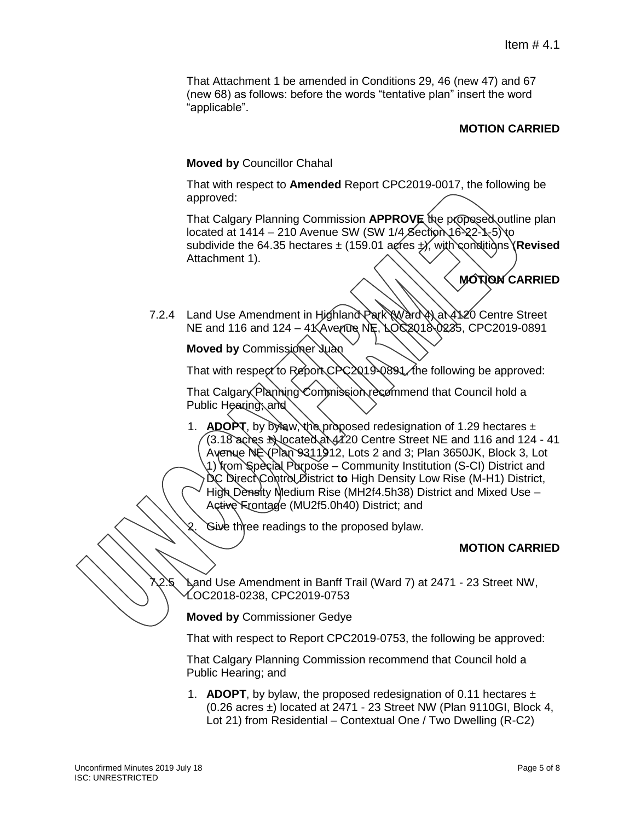That Attachment 1 be amended in Conditions 29, 46 (new 47) and 67 (new 68) as follows: before the words "tentative plan" insert the word "applicable".

### **MOTION CARRIED**

#### **Moved by** Councillor Chahal

That with respect to **Amended** Report CPC2019-0017, the following be approved:

That Calgary Planning Commission **APPROVE** the proposed outline plan located at  $1414 - 210$  Avenue SW (SW  $1/4$  Section 16-22-1-5) to subdivide the 64.35 hectares ± (159.01 acres ±), with conditions (**Revised** Attachment 1).

**MOTION CARRIED**

7.2.4 Land Use Amendment in Highland Park (Ward 4) at 4120 Centre Street  $NE$  and 116 and 124 – 4 $K$ Avenue NE,  $LO$  $C2018$  $O235$ , CPC2019-0891

**Moved by Commissioner Juan** 

That with respect to Report CPC2019-0891 the following be approved:

That Calgary Planning Commission recommend that Council hold a Public Hearing; and

1. **ADOPT**, by bylaw, the proposed redesignation of 1.29 hectares  $\pm$ (3.18 acres ±) located at 4120 Centre Street NE and 116 and 124 - 41 Avenue  $N$ E $\vee$ Plan 9311912, Lots 2 and 3; Plan 3650JK, Block 3, Lot 1) from Special Purpose – Community Institution (S-CI) District and DC Direct Control District **to** High Density Low Rise (M-H1) District, High Density Medium Rise (MH2f4.5h38) District and Mixed Use – Active Frontage (MU2f5.0h40) District; and

Sive three readings to the proposed bylaw.

### **MOTION CARRIED**

**Land Use Amendment in Banff Trail (Ward 7) at 2471 - 23 Street NW,** LOC2018-0238, CPC2019-0753

**Moved by** Commissioner Gedye

That with respect to Report CPC2019-0753, the following be approved:

That Calgary Planning Commission recommend that Council hold a Public Hearing; and

1. **ADOPT**, by bylaw, the proposed redesignation of 0.11 hectares  $\pm$  $(0.26$  acres  $\pm$ ) located at 2471 - 23 Street NW (Plan 9110GI, Block 4, Lot 21) from Residential – Contextual One / Two Dwelling (R-C2)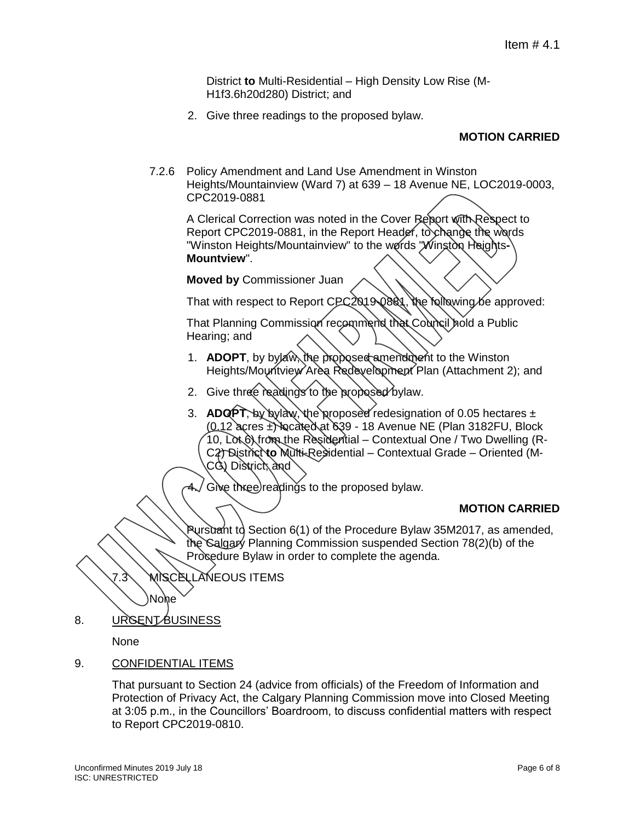District **to** Multi-Residential – High Density Low Rise (M-H1f3.6h20d280) District; and

2. Give three readings to the proposed bylaw.

# **MOTION CARRIED**

7.2.6 Policy Amendment and Land Use Amendment in Winston Heights/Mountainview (Ward 7) at 639 – 18 Avenue NE, LOC2019-0003, CPC2019-0881

A Clerical Correction was noted in the Cover Report with Respect to Report CPC2019-0881, in the Report Header, to change the words "Winston Heights/Mountainview" to the words "Winston Heights-**Mountview**".

**Moved by** Commissioner Juan

That with respect to Report CPC2019-0881, the following be approved:

That Planning Commission recommend that Council hold a Public Hearing; and

- 1. **ADOPT**, by bylaw, the proposed amendment to the Winston Heights/Mountview Area Redevelopment Plan (Attachment 2); and
- 2. Give three readings to the proposed bylaw.
- 3. **ADQPT**, by by law, the proposed redesignation of 0.05 hectares ±  $(0.12$  acres  $\pm$ ) located at 639 - 18 Avenue NE (Plan 3182FU, Block 10, Lot 6) from the Residential – Contextual One / Two Dwelling (R-C2) District **to** Multi-Residential – Contextual Grade – Oriented (M-CG) District, and

Give three readings to the proposed bylaw.

### **MOTION CARRIED**

Pursuant to Section 6(1) of the Procedure Bylaw 35M2017, as amended, the Calgary Planning Commission suspended Section 78(2)(b) of the Procedure Bylaw in order to complete the agenda.

7.3 MISCELLANEOUS ITEMS

8. URGENT BUSINESS

None

None

9. CONFIDENTIAL ITEMS

That pursuant to Section 24 (advice from officials) of the Freedom of Information and Protection of Privacy Act, the Calgary Planning Commission move into Closed Meeting at 3:05 p.m., in the Councillors' Boardroom, to discuss confidential matters with respect to Report CPC2019-0810.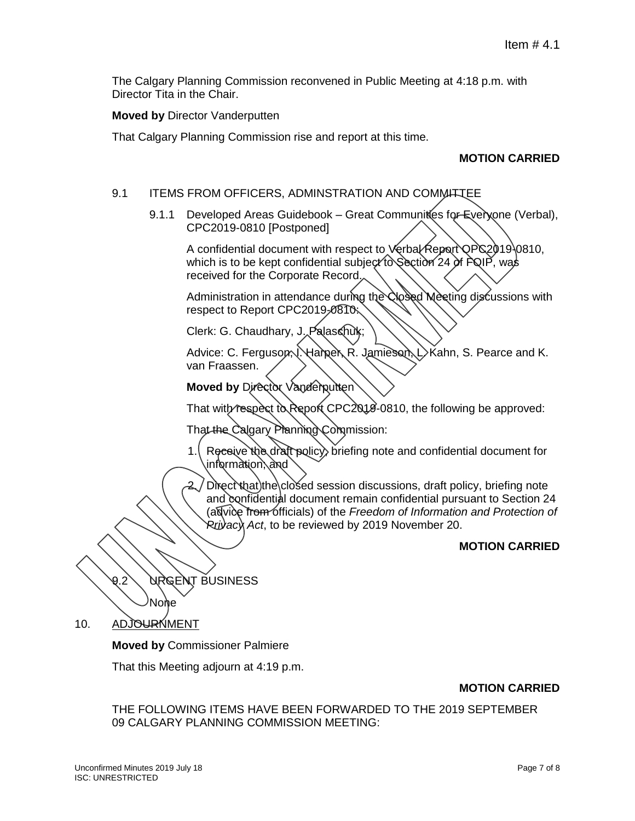The Calgary Planning Commission reconvened in Public Meeting at 4:18 p.m. with Director Tita in the Chair.

**Moved by** Director Vanderputten

That Calgary Planning Commission rise and report at this time.

# **MOTION CARRIED**

#### 9.1 ITEMS FROM OFFICERS, ADMINSTRATION AND COMMITTEE

9.1.1 Developed Areas Guidebook – Great Communities for Everyone (Verbal), CPC2019-0810 [Postponed]

A confidential document with respect to Verbal Report OPC2019-0810. which is to be kept confidential subject to Section 24 of FQIP, was received for the Corporate Record.

Administration in attendance during the Closed Meeting discussions with respect to Report CPC2019-0810:

Clerk: G. Chaudhary, J. Palaschuk;

Advice: C. Ferguson, Nannel, R. Jamieson, L. Kahn, S. Pearce and K. van Fraassen.

**Moved by Director Vanderputten** 

That with respect to Report CPC2018-0810, the following be approved:

That the Calgary Planning Commission:

1. Receive the draft policy, briefing note and confidential document for information; and

 $2$  Direct that the closed session discussions, draft policy, briefing note and confidential document remain confidential pursuant to Section 24 (advice from officials) of the *Freedom of Information and Protection of Privacy Act*, to be reviewed by 2019 November 20.

### **MOTION CARRIED**

9.2 URGENT BUSINESS None

10. ADJOURNMENT

**Moved by** Commissioner Palmiere

That this Meeting adjourn at 4:19 p.m.

### **MOTION CARRIED**

THE FOLLOWING ITEMS HAVE BEEN FORWARDED TO THE 2019 SEPTEMBER 09 CALGARY PLANNING COMMISSION MEETING: